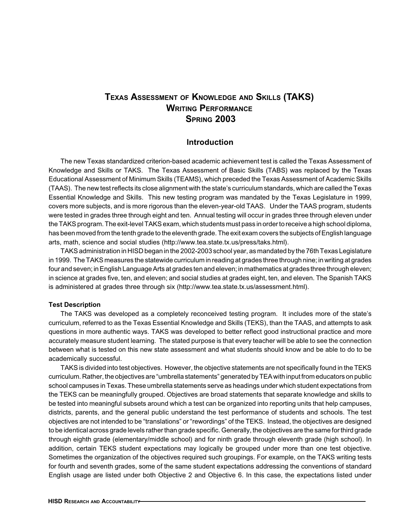# **TEXAS ASSESSMENT OF KNOWLEDGE AND SKILLS (TAKS) WRITING PERFORMANCE SPRING 2003**

#### **Introduction**

The new Texas standardized criterion-based academic achievement test is called the Texas Assessment of Knowledge and Skills or TAKS. The Texas Assessment of Basic Skills (TABS) was replaced by the Texas Educational Assessment of Minimum Skills (TEAMS), which preceded the Texas Assessment of Academic Skills (TAAS). The new test reflects its close alignment with the state's curriculum standards, which are called the Texas Essential Knowledge and Skills. This new testing program was mandated by the Texas Legislature in 1999, covers more subjects, and is more rigorous than the eleven-year-old TAAS. Under the TAAS program, students were tested in grades three through eight and ten. Annual testing will occur in grades three through eleven under the TAKS program. The exit-level TAKS exam, which students must pass in order to receive a high school diploma, has been moved from the tenth grade to the eleventh grade. The exit exam covers the subjects of English language arts, math, science and social studies (http://www.tea.state.tx.us/press/taks.html).

TAKS administration in HISD began in the 2002-2003 school year, as mandated by the 76th Texas Legislature in 1999. The TAKS measures the statewide curriculum in reading at grades three through nine; in writing at grades four and seven; in English Language Arts at grades ten and eleven; in mathematics at grades three through eleven; in science at grades five, ten, and eleven; and social studies at grades eight, ten, and eleven. The Spanish TAKS is administered at grades three through six (http://www.tea.state.tx.us/assessment.html).

#### **Test Description**

The TAKS was developed as a completely reconceived testing program. It includes more of the state's curriculum, referred to as the Texas Essential Knowledge and Skills (TEKS), than the TAAS, and attempts to ask questions in more authentic ways. TAKS was developed to better reflect good instructional practice and more accurately measure student learning. The stated purpose is that every teacher will be able to see the connection between what is tested on this new state assessment and what students should know and be able to do to be academically successful.

TAKS is divided into test objectives. However, the objective statements are not specifically found in the TEKS curriculum. Rather, the objectives are "umbrella statements" generated by TEA with input from educators on public school campuses in Texas. These umbrella statements serve as headings under which student expectations from the TEKS can be meaningfully grouped. Objectives are broad statements that separate knowledge and skills to be tested into meaningful subsets around which a test can be organized into reporting units that help campuses, districts, parents, and the general public understand the test performance of students and schools. The test objectives are not intended to be "translations" or "rewordings" of the TEKS. Instead, the objectives are designed to be identical across grade levels rather than grade specific. Generally, the objectives are the same for third grade through eighth grade (elementary/middle school) and for ninth grade through eleventh grade (high school). In addition, certain TEKS student expectations may logically be grouped under more than one test objective. Sometimes the organization of the objectives required such groupings. For example, on the TAKS writing tests for fourth and seventh grades, some of the same student expectations addressing the conventions of standard English usage are listed under both Objective 2 and Objective 6. In this case, the expectations listed under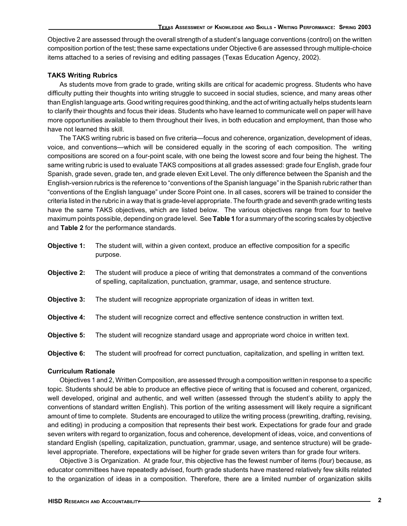Objective 2 are assessed through the overall strength of a student's language conventions (control) on the written composition portion of the test; these same expectations under Objective 6 are assessed through multiple-choice items attached to a series of revising and editing passages (Texas Education Agency, 2002).

#### **TAKS Writing Rubrics**

As students move from grade to grade, writing skills are critical for academic progress. Students who have difficulty putting their thoughts into writing struggle to succeed in social studies, science, and many areas other than English language arts. Good writing requires good thinking, and the act of writing actually helps students learn to clarify their thoughts and focus their ideas. Students who have learned to communicate well on paper will have more opportunities available to them throughout their lives, in both education and employment, than those who have not learned this skill.

The TAKS writing rubric is based on five criteria—focus and coherence, organization, development of ideas, voice, and conventions—which will be considered equally in the scoring of each composition. The writing compositions are scored on a four-point scale, with one being the lowest score and four being the highest. The same writing rubric is used to evaluate TAKS compositions at all grades assessed: grade four English, grade four Spanish, grade seven, grade ten, and grade eleven Exit Level. The only difference between the Spanish and the English-version rubrics is the reference to "conventions of the Spanish language" in the Spanish rubric rather than "conventions of the English language" under Score Point one. In all cases, scorers will be trained to consider the criteria listed in the rubric in a way that is grade-level appropriate. The fourth grade and seventh grade writing tests have the same TAKS objectives, which are listed below. The various objectives range from four to twelve maximum points possible, depending on grade level. See **Table 1** for a summary of the scoring scales by objective and **Table 2** for the performance standards.

| Objective 1:        | The student will, within a given context, produce an effective composition for a specific<br>purpose.                                                                           |
|---------------------|---------------------------------------------------------------------------------------------------------------------------------------------------------------------------------|
| <b>Objective 2:</b> | The student will produce a piece of writing that demonstrates a command of the conventions<br>of spelling, capitalization, punctuation, grammar, usage, and sentence structure. |
| <b>Objective 3:</b> | The student will recognize appropriate organization of ideas in written text.                                                                                                   |
| <b>Objective 4:</b> | The student will recognize correct and effective sentence construction in written text.                                                                                         |
| <b>Objective 5:</b> | The student will recognize standard usage and appropriate word choice in written text.                                                                                          |
| Objective 6:        | The student will proofread for correct punctuation, capitalization, and spelling in written text.                                                                               |

#### **Curriculum Rationale**

Objectives 1 and 2, Written Composition, are assessed through a composition written in response to a specific topic. Students should be able to produce an effective piece of writing that is focused and coherent, organized, well developed, original and authentic, and well written (assessed through the student's ability to apply the conventions of standard written English). This portion of the writing assessment will likely require a significant amount of time to complete. Students are encouraged to utilize the writing process (prewriting, drafting, revising, and editing) in producing a composition that represents their best work. Expectations for grade four and grade seven writers with regard to organization, focus and coherence, development of ideas, voice, and conventions of standard English (spelling, capitalization, punctuation, grammar, usage, and sentence structure) will be gradelevel appropriate. Therefore, expectations will be higher for grade seven writers than for grade four writers.

Objective 3 is Organization. At grade four, this objective has the fewest number of items (four) because, as educator committees have repeatedly advised, fourth grade students have mastered relatively few skills related to the organization of ideas in a composition. Therefore, there are a limited number of organization skills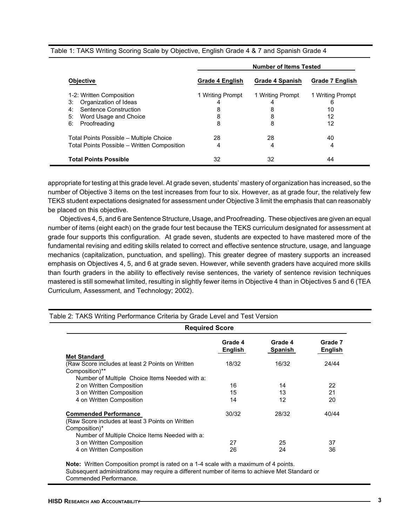|                                             | <b>Number of Items Tested</b> |                  |                        |  |  |  |  |
|---------------------------------------------|-------------------------------|------------------|------------------------|--|--|--|--|
| <b>Objective</b>                            | <b>Grade 4 English</b>        | Grade 4 Spanish  | <b>Grade 7 English</b> |  |  |  |  |
| 1-2: Written Composition                    | 1 Writing Prompt              | 1 Writing Prompt | 1 Writing Prompt       |  |  |  |  |
| Organization of Ideas<br>3:                 | 4                             | 4                | 6                      |  |  |  |  |
| Sentence Construction<br>4:                 | 8                             | 8                | 10                     |  |  |  |  |
| 5:<br>Word Usage and Choice                 | 8                             | 8                | 12                     |  |  |  |  |
| Proofreading<br>6:                          | 8                             | 8                | 12                     |  |  |  |  |
| Total Points Possible - Multiple Choice     | 28                            | 28               | 40                     |  |  |  |  |
| Total Points Possible - Written Composition | 4                             | 4                | 4                      |  |  |  |  |
| <b>Total Points Possible</b>                | 32                            | 32               | 44                     |  |  |  |  |

Table 1: TAKS Writing Scoring Scale by Objective, English Grade 4 & 7 and Spanish Grade 4

appropriate for testing at this grade level. At grade seven, students' mastery of organization has increased, so the number of Objective 3 items on the test increases from four to six. However, as at grade four, the relatively few TEKS student expectations designated for assessment under Objective 3 limit the emphasis that can reasonably be placed on this objective.

Objectives 4, 5, and 6 are Sentence Structure, Usage, and Proofreading.These objectives are given an equal number of items (eight each) on the grade four test because the TEKS curriculum designated for assessment at grade four supports this configuration. At grade seven, students are expected to have mastered more of the fundamental revising and editing skills related to correct and effective sentence structure, usage, and language mechanics (capitalization, punctuation, and spelling). This greater degree of mastery supports an increased emphasis on Objectives 4, 5, and 6 at grade seven. However, while seventh graders have acquired more skills than fourth graders in the ability to effectively revise sentences, the variety of sentence revision techniques mastered is still somewhat limited, resulting in slightly fewer items in Objective 4 than in Objectives 5 and 6 (TEA Curriculum, Assessment, and Technology; 2002).

| <b>Required Score</b>                                                             |                    |                    |                           |  |  |  |  |  |
|-----------------------------------------------------------------------------------|--------------------|--------------------|---------------------------|--|--|--|--|--|
|                                                                                   | Grade 4<br>English | Grade 4<br>Spanish | Grade 7<br><b>English</b> |  |  |  |  |  |
| <b>Met Standard</b>                                                               |                    |                    |                           |  |  |  |  |  |
| (Raw Score includes at least 2 Points on Written)<br>Composition)**               | 18/32              | 16/32              | 24/44                     |  |  |  |  |  |
| Number of Multiple Choice Items Needed with a:                                    |                    |                    |                           |  |  |  |  |  |
| 2 on Written Composition                                                          | 16                 | 14                 | 22                        |  |  |  |  |  |
| 3 on Written Composition                                                          | 15                 | 13                 | 21                        |  |  |  |  |  |
| 4 on Written Composition                                                          | 14                 | 12                 | 20                        |  |  |  |  |  |
| <b>Commended Performance</b><br>(Raw Score includes at least 3 Points on Written) | 30/32              | 28/32              | 40/44                     |  |  |  |  |  |
| Composition)*                                                                     |                    |                    |                           |  |  |  |  |  |
| Number of Multiple Choice Items Needed with a:                                    |                    |                    |                           |  |  |  |  |  |
| 3 on Written Composition                                                          | 27                 | 25                 | 37                        |  |  |  |  |  |
| 4 on Written Composition                                                          | 26                 | 24                 | 36                        |  |  |  |  |  |

Table 2: TAKS Writing Performance Criteria by Grade Level and Test Version

**Note:** Written Composition prompt is rated on a 1-4 scale with a maximum of 4 points. Subsequent administrations may require a different number of items to achieve Met Standard or Commended Performance.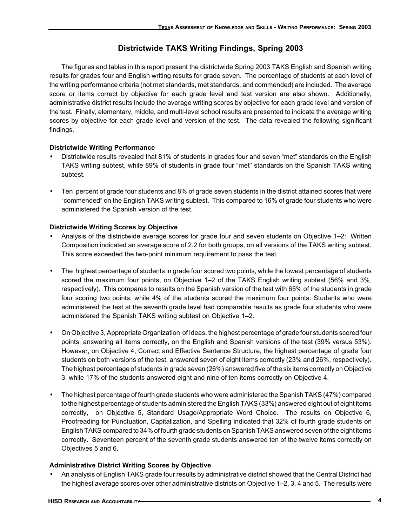# **Districtwide TAKS Writing Findings, Spring 2003**

The figures and tables in this report present the districtwide Spring 2003 TAKS English and Spanish writing results for grades four and English writing results for grade seven. The percentage of students at each level of the writing performance criteria (not met standards, met standards, and commended) are included. The average score or items correct by objective for each grade level and test version are also shown. Additionally, administrative district results include the average writing scores by objective for each grade level and version of the test. Finally, elementary, middle, and multi-level school results are presented to indicate the average writing scores by objective for each grade level and version of the test. The data revealed the following significant findings.

### **Districtwide Writing Performance**

- Districtwide results revealed that 81% of students in grades four and seven "met" standards on the English TAKS writing subtest, while 89% of students in grade four "met" standards on the Spanish TAKS writing subtest.
- Ten percent of grade four students and 8% of grade seven students in the district attained scores that were "commended" on the English TAKS writing subtest. This compared to 16% of grade four students who were administered the Spanish version of the test.

### **Districtwide Writing Scores by Objective**

- Analysis of the districtwide average scores for grade four and seven students on Objective 1**–**2: Written Composition indicated an average score of 2.2 for both groups, on all versions of the TAKS writing subtest. This score exceeded the two-point minimum requirement to pass the test.
- The highest percentage of students in grade four scored two points, while the lowest percentage of students scored the maximum four points, on Objective 1**–**2 of the TAKS English writing subtest (56% and 3%, respectively). This compares to results on the Spanish version of the test with 65% of the students in grade four scoring two points, while 4% of the students scored the maximum four points. Students who were administered the test at the seventh grade level had comparable results as grade four students who were administered the Spanish TAKS writing subtest on Objective 1**–**2.
- On Objective 3, Appropriate Organization of Ideas, the highest percentage of grade four students scored four points, answering all items correctly, on the English and Spanish versions of the test (39% versus 53%). However, on Objective 4, Correct and Effective Sentence Structure, the highest percentage of grade four students on both versions of the test, answered seven of eight items correctly (23% and 26%, respectively). The highest percentage of students in grade seven (26%) answered five of the six items correctly on Objective 3, while 17% of the students answered eight and nine of ten items correctly on Objective 4.
- The highest percentage of fourth grade students who were administered the Spanish TAKS (47%) compared to the highest percentage of students administered the English TAKS (33%) answered eight out of eight items correctly, on Objective 5, Standard Usage/Appropriate Word Choice. The results on Objective 6, Proofreading for Punctuation, Capitalization, and Spelling indicated that 32% of fourth grade students on English TAKS compared to 34% of fourth grade students on Spanish TAKS answered seven of the eight items correctly. Seventeen percent of the seventh grade students answered ten of the twelve items correctly on Objectives 5 and 6.

## **Administrative District Writing Scores by Objective**

• An analysis of English TAKS grade four results by administrative district showed that the Central District had the highest average scores over other administrative districts on Objective 1**–**2, 3, 4 and 5. The results were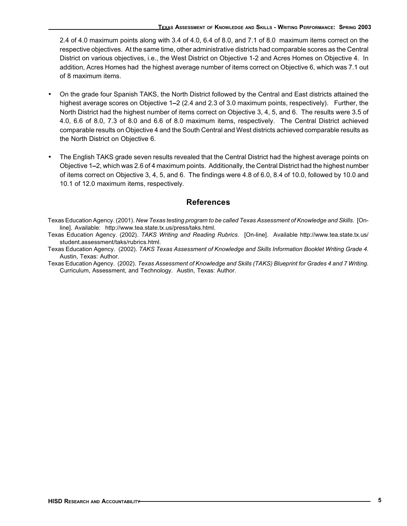2.4 of 4.0 maximum points along with 3.4 of 4.0, 6.4 of 8.0, and 7.1 of 8.0 maximum items correct on the respective objectives. At the same time, other administrative districts had comparable scores as the Central District on various objectives, i.e., the West District on Objective 1-2 and Acres Homes on Objective 4. In addition, Acres Homes had the highest average number of items correct on Objective 6, which was 7.1 out of 8 maximum items.

- On the grade four Spanish TAKS, the North District followed by the Central and East districts attained the highest average scores on Objective 1**–**2 (2.4 and 2.3 of 3.0 maximum points, respectively). Further, the North District had the highest number of items correct on Objective 3, 4, 5, and 6. The results were 3.5 of 4.0, 6.6 of 8.0, 7.3 of 8.0 and 6.6 of 8.0 maximum items, respectively. The Central District achieved comparable results on Objective 4 and the South Central and West districts achieved comparable results as the North District on Objective 6.
- The English TAKS grade seven results revealed that the Central District had the highest average points on Objective 1**–**2, which was 2.6 of 4 maximum points. Additionally, the Central District had the highest number of items correct on Objective 3, 4, 5, and 6. The findings were 4.8 of 6.0, 8.4 of 10.0, followed by 10.0 and 10.1 of 12.0 maximum items, respectively.

# **References**

Texas Education Agency. (2001). *New Texas testing program to be called Texas Assessment of Knowledge and Skills*. [Online]. Available: http://www.tea.state.tx.us/press/taks.html.

Texas Education Agency. (2002). *TAKS Writing and Reading Rubrics*. [On-line]. Available http://www.tea.state.tx.us/ student.assessment/taks/rubrics.html.

Texas Education Agency. (2002). *TAKS Texas Assessment of Knowledge and Skills Information Booklet Writing Grade 4*. Austin, Texas: Author.

Texas Education Agency. (2002). *Texas Assessment of Knowledge and Skills (TAKS) Blueprint for Grades 4 and 7 Writing*. Curriculum, Assessment, and Technology. Austin, Texas: Author.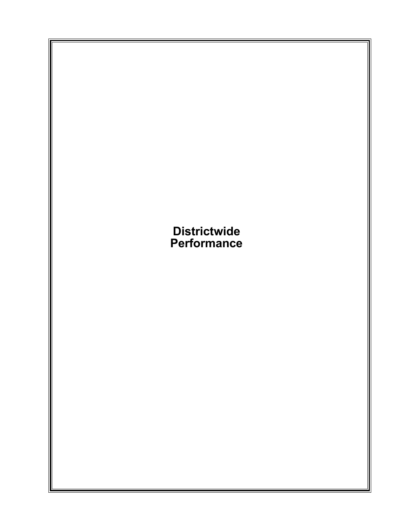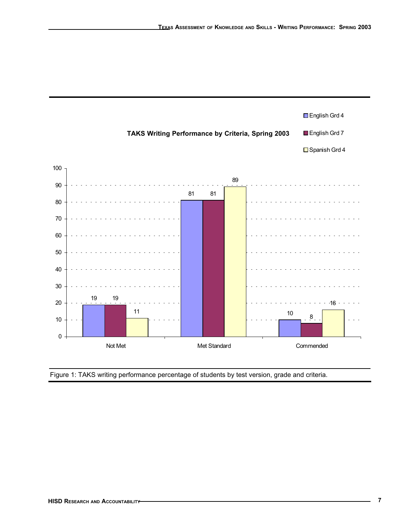

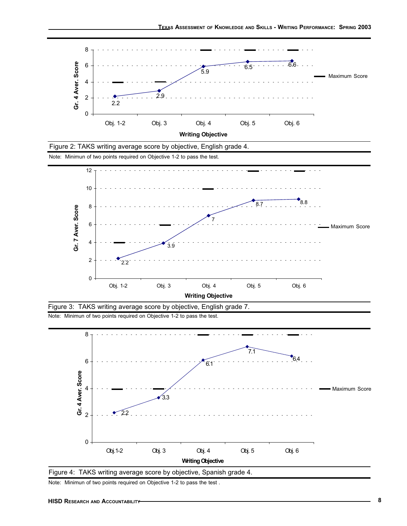



Note: Minimun of two points required on Objective 1-2 to pass the test .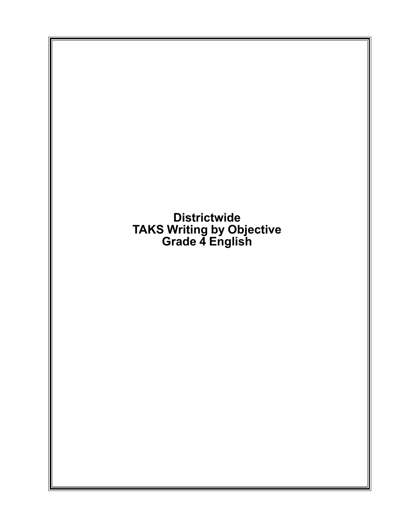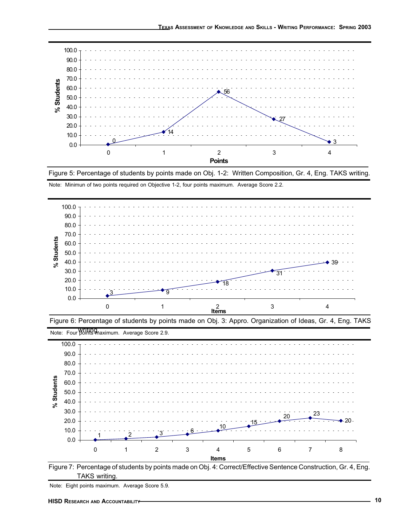

Figure 5: Percentage of students by points made on Obj. 1-2: Written Composition, Gr. 4, Eng. TAKS writing. Note: Minimun of two points required on Objective 1-2, four points maximum. Average Score 2.2.







Figure 7: Percentage of students by points made on Obj. 4: Correct/Effective Sentence Construction, Gr. 4, Eng. TAKS writing.

Note: Eight points maximum. Average Score 5.9.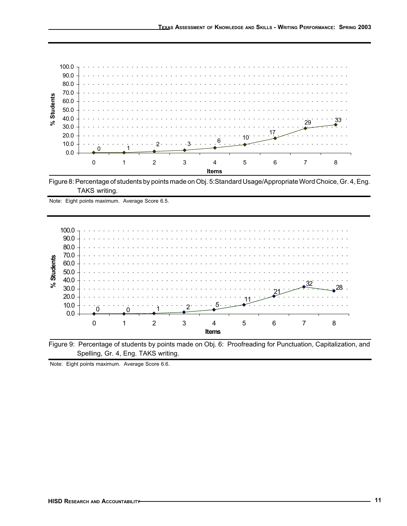

Figure 8: Percentage of students by points made on Obj. 5:Standard Usage/Appropriate Word Choice, Gr. 4, Eng. TAKS writing.

Note: Eight points maximum. Average Score 6.5.



Figure 9: Percentage of students by points made on Obj. 6: Proofreading for Punctuation, Capitalization, and Spelling, Gr. 4, Eng. TAKS writing.

Note: Eight points maximum. Average Score 6.6.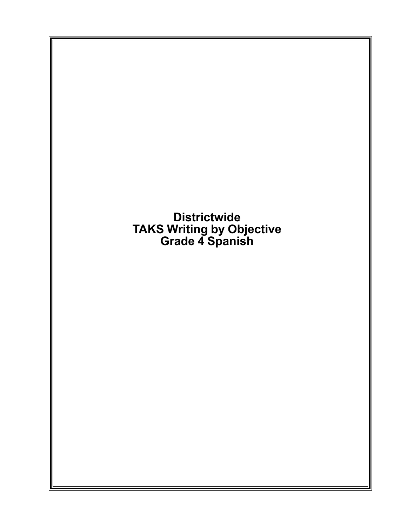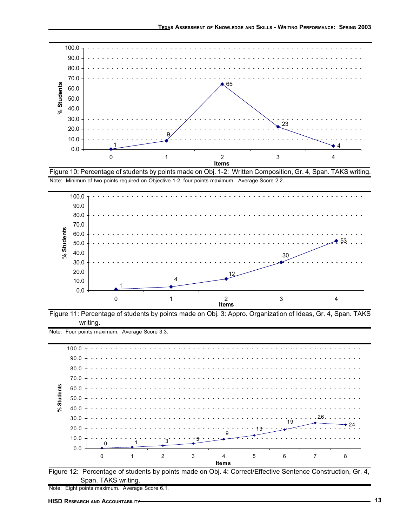









Figure 12: Percentage of students by points made on Obj. 4: Correct/Effective Sentence Construction, Gr. 4, Span. TAKS writing.

Note: Eight points maximum. Average Score 6.1.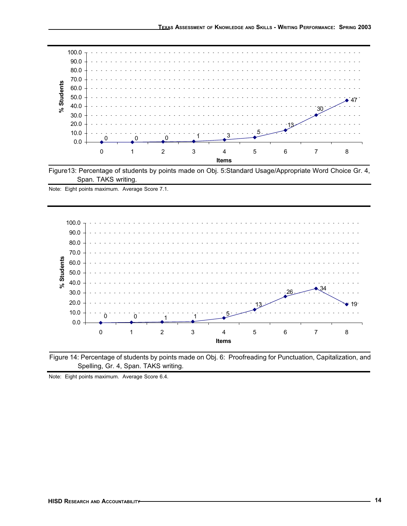

Figure13: Percentage of students by points made on Obj. 5:Standard Usage/Appropriate Word Choice Gr. 4, Span. TAKS writing.

Note: Eight points maximum. Average Score 7.1.





Note: Eight points maximum. Average Score 6.4.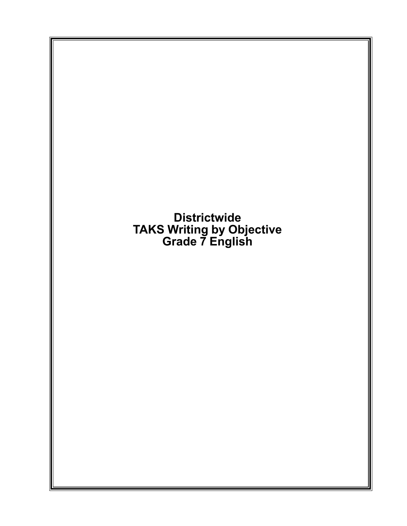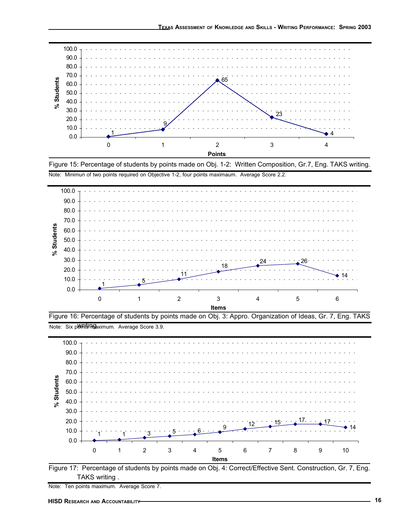





Figure 16: Percentage of students by points made on Obj. 3: Appro. Organization of Ideas, Gr. 7, Eng. TAKS Note: Six ponits maximum. Average Score 3.9.





Note: Ten points maximum. Average Score 7.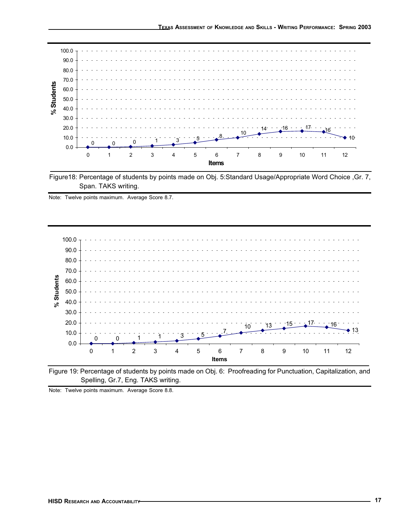

Figure18: Percentage of students by points made on Obj. 5:Standard Usage/Appropriate Word Choice ,Gr. 7, Span. TAKS writing.







Note: Twelve points maximum. Average Score 8.8.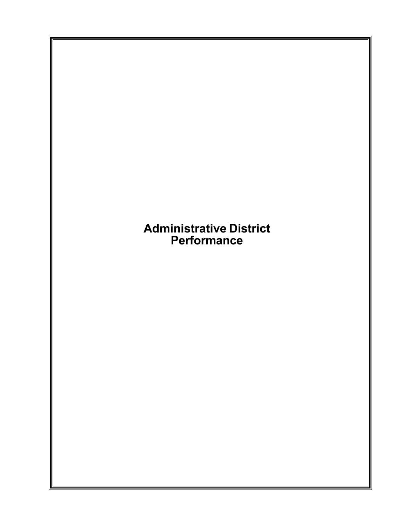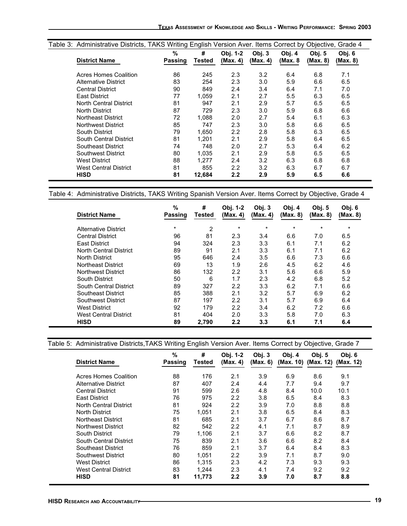| Table 3: Administrative Districts, TAKS Writing English Version Aver. Items Correct by Objective, Grade 4 |         |        |                  |          |         |               |          |  |  |
|-----------------------------------------------------------------------------------------------------------|---------|--------|------------------|----------|---------|---------------|----------|--|--|
|                                                                                                           | $\%$    | #      | Obj. 1-2         | Obj.3    | Obj. 4  | <b>Obj. 5</b> | Obj. 6   |  |  |
| <b>District Name</b>                                                                                      | Passing | Tested | (Max. 4)         | (Max. 4) | (Max. 8 | (Max. 8)      | (Max. 8) |  |  |
| Acres Homes Coalition                                                                                     | 86      | 245    | 2.3              | 3.2      | 6.4     | 6.8           | 7.1      |  |  |
| <b>Alternative District</b>                                                                               | 83      | 254    | 2.3              | 3.0      | 5.9     | 6.6           | 6.5      |  |  |
| <b>Central District</b>                                                                                   | 90      | 849    | 2.4              | 3.4      | 6.4     | 7.1           | 7.0      |  |  |
| <b>East District</b>                                                                                      | 77      | 1.059  | 2.1              | 2.7      | 5.5     | 6.3           | 6.5      |  |  |
| North Central District                                                                                    | 81      | 947    | 2.1              | 2.9      | 5.7     | 6.5           | 6.5      |  |  |
| North District                                                                                            | 87      | 729    | 2.3              | 3.0      | 5.9     | 6.8           | 6.6      |  |  |
| Northeast District                                                                                        | 72      | 1,088  | 2.0              | 2.7      | 5.4     | 6.1           | 6.3      |  |  |
| Northwest District                                                                                        | 85      | 747    | 2.3              | 3.0      | 5.8     | 6.6           | 6.5      |  |  |
| South District                                                                                            | 79      | 1.650  | $2.2\phantom{0}$ | 2.8      | 5.8     | 6.3           | 6.5      |  |  |
| South Central District                                                                                    | 81      | 1.201  | 2.1              | 2.9      | 5.8     | 6.4           | 6.5      |  |  |
| Southeast District                                                                                        | 74      | 748    | 2.0              | 2.7      | 5.3     | 6.4           | 6.2      |  |  |
| Southwest District                                                                                        | 80      | 1.035  | 2.1              | 2.9      | 5.8     | 6.5           | 6.5      |  |  |
| <b>West District</b>                                                                                      | 88      | 1.277  | 2.4              | 3.2      | 6.3     | 6.8           | 6.8      |  |  |
| West Central District                                                                                     | 81      | 855    | 2.2              | 3.2      | 6.3     | 6.7           | 6.7      |  |  |
| <b>HISD</b>                                                                                               | 81      | 12,684 | $2.2\phantom{0}$ | 2.9      | 5.9     | 6.5           | 6.6      |  |  |

Table 4: Administrative Districts, TAKS Writing Spanish Version Aver. Items Correct by Objective, Grade 4

| <b>District Name</b>          | $\%$<br>Passing | #<br>Tested | Obj. 1-2<br>(Max. 4) | Obj. 3<br>(Max. 4) | Obj. 4<br>(Max. 8) | Obj. 5<br>(Max. 8) | Obj. 6<br>(Max. 8) |
|-------------------------------|-----------------|-------------|----------------------|--------------------|--------------------|--------------------|--------------------|
| Alternative District          | $\star$         | 2           | $\star$              | $\star$            | $^\star$           | $\star$            | $\star$            |
| <b>Central District</b>       | 96              | 81          | 2.3                  | 3.4                | 6.6                | 7.0                | 6.5                |
| <b>East District</b>          | 94              | 324         | 2.3                  | 3.3                | 6.1                | 7.1                | 6.2                |
| North Central District        | 89              | 91          | 2.1                  | 3.3                | 6.1                | 7.1                | 6.2                |
| North District                | 95              | 646         | 2.4                  | 3.5                | 6.6                | 7.3                | 6.6                |
| Northeast District            | 69              | 13          | 1.9                  | 2.6                | 4.5                | 6.2                | 4.6                |
| <b>Northwest District</b>     | 86              | 132         | 2.2                  | 3.1                | 5.6                | 6.6                | 5.9                |
| South District                | 50              | 6           | 1.7                  | 2.3                | 4.2                | 6.8                | 5.2                |
| <b>South Central District</b> | 89              | 327         | 2.2                  | 3.3                | 6.2                | 7.1                | 6.6                |
| Southeast District            | 85              | 388         | 2.1                  | 3.2                | 5.7                | 6.9                | 6.2                |
| Southwest District            | 87              | 197         | 2.2                  | 3.1                | 5.7                | 6.9                | 6.4                |
| <b>West District</b>          | 92              | 179         | 2.2                  | 3.4                | 6.2                | 7.2                | 6.6                |
| <b>West Central District</b>  | 81              | 404         | 2.0                  | 3.3                | 5.8                | 7.0                | 6.3                |
| <b>HISD</b>                   | 89              | 2.790       | 2.2                  | 3.3                | 6.1                | 7.1                | 6.4                |

### Table 5: Administrative Districts,TAKS Writing English Version Aver. Items Correct by Objective, Grade 7

| <b>District Name</b>         | %<br>Passing | #<br>Tested | Obj. 1-2<br>(Max. 4) | Obj. 3<br>(Max. 6) | Obj. 4<br>(Max. 10) | Obj. $5$<br>(Max. 12) | Obj. 6<br>(Max. 12) |
|------------------------------|--------------|-------------|----------------------|--------------------|---------------------|-----------------------|---------------------|
| <b>Acres Homes Coalition</b> | 88           | 176         | 2.1                  | 3.9                | 6.9                 | 8.6                   | 9.1                 |
| Alternative District         | 87           | 407         | 2.4                  | 4.4                | 7.7                 | 9.4                   | 9.7                 |
| <b>Central District</b>      | 91           | 599         | 2.6                  | 4.8                | 8.4                 | 10.0                  | 10.1                |
| <b>East District</b>         | 76           | 975         | 2.2                  | 3.8                | 6.5                 | 8.4                   | 8.3                 |
| North Central District       | 81           | 924         | 2.2                  | 3.9                | 7.0                 | 8.8                   | 8.8                 |
| North District               | 75           | 1.051       | 2.1                  | 3.8                | 6.5                 | 8.4                   | 8.3                 |
| Northeast District           | 81           | 685         | 2.1                  | 3.7                | 6.7                 | 8.6                   | 8.7                 |
| Northwest District           | 82           | 542         | 2.2                  | 4.1                | 7.1                 | 8.7                   | 8.9                 |
| South District               | 79           | 1.106       | 2.1                  | 3.7                | 6.6                 | 8.2                   | 8.7                 |
| South Central District       | 75           | 839         | 2.1                  | 3.6                | 6.6                 | 8.2                   | 8.4                 |
| Southeast District           | 76           | 859         | 2.1                  | 3.7                | 6.4                 | 8.4                   | 8.3                 |
| <b>Southwest District</b>    | 80           | 1,051       | 2.2                  | 3.9                | 7.1                 | 8.7                   | 9.0                 |
| West District                | 86           | 1.315       | 2.3                  | 4.2                | 7.3                 | 9.3                   | 9.3                 |
| West Central District        | 83           | 1.244       | 2.3                  | 4.1                | 7.4                 | 9.2                   | 9.2                 |
| HISD                         | 81           | 11,773      | 2.2                  | 3.9                | 7.0                 | 8.7                   | 8.8                 |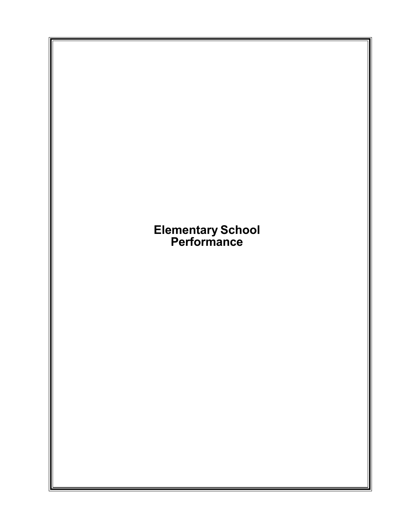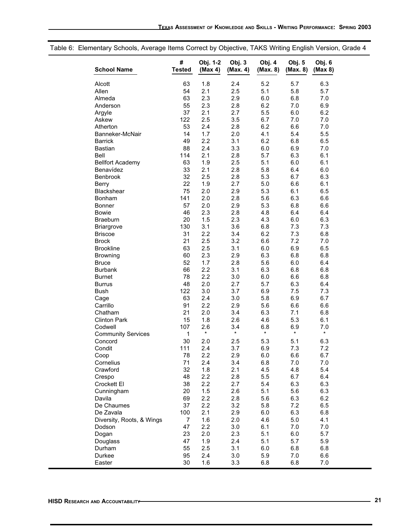| <b>School Name</b>        | #<br><b>Tested</b> | Obj. 1-2<br>(Max 4) | Obj. 3<br>(Max. 4) | Obj. 4<br>(Max. 8) | Obj. 5<br>(Max. 8) | Obj. 6<br>(Max 8) |
|---------------------------|--------------------|---------------------|--------------------|--------------------|--------------------|-------------------|
| Alcott                    | 63                 | 1.8                 | 2.4                | 5.2                | 5.7                | 6.3               |
| Allen                     | 54                 | 2.1                 | 2.5                | 5.1                | 5.8                | 5.7               |
| Almeda                    | 63                 | 2.3                 | 2.9                | 6.0                | 6.8                | 7.0               |
| Anderson                  | 55                 | 2.3                 | 2.8                | 6.2                | 7.0                | 6.9               |
| Argyle                    | 37                 | 2.1                 | 2.7                | 5.5                | 6.0                | 6.2               |
| Askew                     | 122                | 2.5                 | 3.5                | 6.7                | 7.0                | 7.0               |
| Atherton                  | 53                 | 2.4                 | 2.8                | 6.2                | 6.6                | 7.0               |
| Banneker-McNair           | 14                 | 1.7                 | 2.0                | 4.1                | 5.4                | 5.5               |
| <b>Barrick</b>            | 49                 | 2.2                 | 3.1                | 6.2                | 6.8                | 6.5               |
| <b>Bastian</b>            | 88                 | 2.4                 | 3.3                | 6.0                | 6.9                | 7.0               |
| <b>Bell</b>               | 114                | 2.1                 | 2.8                | 5.7                | 6.3                | 6.1               |
| <b>Bellfort Academy</b>   | 63                 | 1.9                 | 2.5                | 5.1                | 6.0                | 6.1               |
| Benavídez                 | 33                 | 2.1                 | 2.8                | 5.8                | 6.4                | 6.0               |
| Benbrook                  | 32                 | 2.5                 | 2.8                | 5.3                | 6.7                | 6.3               |
| Berry                     | 22                 | 1.9                 | 2.7                | 5.0                | 6.6                | 6.1               |
| Blackshear                | 75                 | 2.0                 | 2.9                | 5.3                | 6.1                | 6.5               |
| Bonham                    | 141                | 2.0                 | 2.8                | 5.6                | 6.3                | 6.6               |
| <b>Bonner</b>             | 57                 | 2.0                 | 2.9                | 5.3                | 6.8                | 6.6               |
| <b>Bowie</b>              | 46                 | 2.3                 | 2.8                | 4.8                | 6.4                | 6.4               |
| <b>Braeburn</b>           | 20                 | 1.5                 | 2.3                | 4.3                | 6.0                | 6.3               |
| <b>Briargrove</b>         | 130                | 3.1                 | 3.6                | 6.8                | 7.3                | 7.3               |
| <b>Briscoe</b>            | 31                 | 2.2                 | 3.4                | 6.2                | 7.3                | 6.8               |
| <b>Brock</b>              | 21                 | 2.5                 | 3.2                | 6.6                | 7.2                | 7.0               |
| <b>Brookline</b>          | 63                 | 2.5                 | 3.1                | 6.0                | 6.9                | 6.5               |
| <b>Browning</b>           | 60                 | 2.3                 | 2.9                | 6.3                | 6.8                | 6.8               |
| <b>Bruce</b>              | 52                 | 1.7                 | 2.8                | 5.6                | 6.0                | 6.4               |
| <b>Burbank</b>            | 66                 | 2.2                 | 3.1                | 6.3                | 6.8                | 6.8               |
| <b>Burnet</b>             | 78                 | 2.2                 | 3.0                | 6.0                | 6.6                | 6.8               |
| <b>Burrus</b>             | 48                 | 2.0                 | 2.7                | 5.7                | 6.3                | 6.4               |
| <b>Bush</b>               | 122<br>63          | 3.0                 | 3.7                | 6.9<br>5.8         | 7.5                | 7.3               |
| Cage                      | 91                 | 2.4<br>2.2          | 3.0<br>2.9         | 5.6                | 6.9<br>6.6         | 6.7<br>6.6        |
| Carrillo<br>Chatham       | 21                 |                     |                    | 6.3                | 7.1                |                   |
| <b>Clinton Park</b>       | 15                 | 2.0<br>1.8          | 3.4<br>2.6         | 4.6                | 5.3                | 6.8<br>6.1        |
| Codwell                   | 107                | 2.6                 | 3.4                | 6.8                | 6.9                | 7.0               |
| <b>Community Services</b> | $\mathbf{1}$       | $\star$             | $\star$            | $\star$            | $\star$            | $\star$           |
| Concord                   | 30                 | 2.0                 | 2.5                | 5.3                | 5.1                | 6.3               |
| Condit                    | 111                | 2.4                 | 3.7                | 6.9                | 7.3                | 7.2               |
| Coop                      | 78                 | 2.2                 | 2.9                | 6.0                | 6.6                | 6.7               |
| Cornelius                 | 71                 | 2.4                 | 3.4                | 6.8                | 7.0                | 7.0               |
| Crawford                  | 32                 | 1.8                 | 2.1                | 4.5                | 4.8                | 5.4               |
| Crespo                    | 48                 | 2.2                 | 2.8                | 5.5                | 6.7                | 6.4               |
| Crockett El               | 38                 | 2.2                 | 2.7                | 5.4                | 6.3                | 6.3               |
| Cunningham                | 20                 | 1.5                 | 2.6                | 5.1                | 5.6                | 6.3               |
| Davila                    | 69                 | 2.2                 | 2.8                | 5.6                | 6.3                | 6.2               |
| De Chaumes                | 37                 | 2.2                 | 3.2                | 5.8                | 7.2                | 6.5               |
| De Zavala                 | 100                | 2.1                 | 2.9                | 6.0                | 6.3                | 6.8               |
| Diversity, Roots, & Wings | $\overline{7}$     | 1.6                 | 2.0                | 4.6                | 5.0                | 4.1               |
| Dodson                    | 47                 | 2.2                 | 3.0                | 6.1                | 7.0                | 7.0               |
| Dogan                     | 23                 | 2.0                 | 2.3                | 5.1                | 6.0                | 5.7               |
| Douglass                  | 47                 | 1.9                 | 2.4                | 5.1                | 5.7                | 5.9               |
| Durham                    | 55                 | 2.5                 | 3.1                | 6.0                | 6.8                | 6.8               |
| Durkee                    | 95                 | 2.4                 | 3.0                | 5.9                | 7.0                | 6.6               |
| Easter                    | 30                 | 1.6                 | 3.3                | 6.8                | 6.8                | 7.0               |

## Table 6: Elementary Schools, Average Items Correct by Objective, TAKS Writing English Version, Grade 4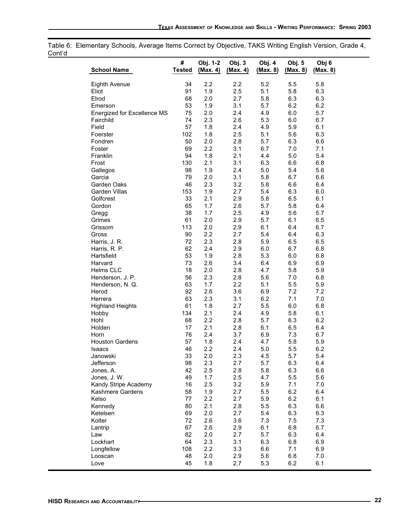Table 6: Elementary Schools, Average Items Correct by Objective, TAKS Writing English Version, Grade 4, Cont'd  $\overline{\phantom{0}}$ 

|                                    | #             | Obj. 1-2   | Obj. 3     | Obj. 4     | Obj. 5     | Obj 6      |
|------------------------------------|---------------|------------|------------|------------|------------|------------|
| <b>School Name</b>                 | <b>Tested</b> | (Max. 4)   | (Max. 4)   | (Max. 8)   | (Max. 8)   | (Max. 8)   |
| Eighth Avenue                      | 34            | 2.2        | 2.2        | 5.2        | 5.5        | 5.8        |
| Eliot                              | 91            | 1.9        | 2.5        | 5.1        | 5.8        | 6.3        |
| Elrod                              | 68            | 2.0        | 2.7        | 5.8        | 6.3        | 6.3        |
| Emerson                            | 53            | 1.9        | 3.1        | 5.7        | 6.2        | 6.2        |
| Energized for Excellence MS        | 75            | 2.0        | 2.4        | 4.9        | 6.0        | 5.7        |
| Fairchild                          | 74            | 2.3        | 2.6        | 5.3        | 6.0        | 6.7        |
| Field                              | 57            | 1.8        | 2.4        | 4.9        | 5.9        | 6.1        |
| Foerster                           | 102           | 1.8        | 2.5        | 5.1        | 5.6        | 6.3        |
| Fondren                            | 50            | 2.0        | 2.8        | 5.7        | 6.3        | 6.6        |
| Foster                             | 69            | 2.2        | 3.1        | 6.7        | 7.0        | 7.1        |
| Franklin                           | 94            | 1.8        | 2.1        | 4.4        | 5.0        | 5.4        |
| Frost                              | 130           | 2.1        | 3.1        | 6.3        | 6.6        | 6.8        |
| Gallegos                           | 98            | 1.9        | 2.4        | 5.0        | 5.4        | 5.6        |
| Garcia                             | 79            | 2.0        | 3.1        | 5.8        | 6.7        | 6.6        |
| Garden Oaks                        | 46            | 2.3        | 3.2        | 5.8        | 6.6        | 6.4        |
| <b>Garden Villas</b>               | 153           | 1.9        | 2.7        | 5.4        | 6.3        | 6.0        |
| Golfcrest                          | 33            | 2.1        | 2.9        | 5.8        | 6.5        | 6.1        |
| Gordon                             | 65            | 1.7        | 2.6        | 5.7        | 5.8        | 6.4        |
| Gregg                              | 38            | 1.7        | 2.5        | 4.9        | 5.6        | 5.7        |
| Grimes                             | 61            | 2.0        | 2.9        | 5.7        | 6.1        | 6.5        |
| Grissom                            | 113           | 2.0        | 2.9        | 6.1        | 6.4        | 6.7        |
| Gross                              | 90            | 2.2        | 2.7        | 5.4        | 6.4        | 6.3        |
| Harris, J. R.                      | 72            | 2.3        | 2.8        | 5.9        | 6.5        | 6.5        |
| Harris, R. P.                      | 62            | 2.4        | 2.9        | 6.0        | 6.7        | 6.8        |
| Hartsfield                         | 53            | 1.9        | 2.8        | 5.3        | 6.0        | 6.8        |
| Harvard                            | 73            | 2.6        | 3.4        | 6.4        | 6.9        | 6.9        |
| <b>Helms CLC</b>                   | 18            | 2.0        | 2.8        | 4.7        | 5.8        | 5.9        |
| Henderson, J. P.                   | 56            | 2.3        | 2.8        | 5.6        | 7.0        | 6.8        |
| Henderson, N. Q.                   | 63            | 1.7        | 2.2        | 5.1        | 5.5        | 5.9        |
| Herod                              | 92<br>63      | 2.6<br>2.3 | 3.6        | 6.9<br>6.2 | 7.2<br>7.1 | 7.2        |
| Herrera<br><b>Highland Heights</b> | 61            | 1.8        | 3.1<br>2.7 | 5.5        | 6.0        | 7.0<br>6.8 |
| Hobby                              | 134           | 2.1        | 2.4        | 4.9        | 5.8        | 6.1        |
| Hohl                               | 68            | 2.2        | 2.8        | 5.7        | 6.3        | 6.2        |
| Holden                             | 17            | 2.1        | 2.8        | 6.1        | 6.5        | 6.4        |
| Horn                               | 76            | 2.4        | 3.7        | 6.9        | 7.3        | 6.7        |
| <b>Houston Gardens</b>             | 57            | 1.8        | 2.4        | 4.7        | 5.8        | 5.9        |
| Isaacs                             | 46            | 2.2        | 2.4        | 5.0        | 5.5        | 6.2        |
| Janowski                           | 33            | 2.0        | 2.3        | 4.5        | 5.7        | 5.4        |
| Jefferson                          | 98            | 2.3        | 2.7        | 5.7        | 6.3        | 6.4        |
| Jones, A.                          | 42            | 2.5        | 2.8        | 5.8        | 6.3        | 6.6        |
| Jones, J.W.                        | 49            | 1.7        | 2.5        | 4.7        | 5.5        | 5.6        |
| Kandy Stripe Academy               | 16            | 2.5        | 3.2        | 5.9        | 7.1        | 7.0        |
| Kashmere Gardens                   | 58            | 1.9        | 2.7        | 5.5        | 6.2        | 6.4        |
| Kelso                              | 77            | 2.2        | 2.7        | 5.9        | 6.2        | 6.1        |
| Kennedy                            | 80            | 2.1        | 2.8        | 5.5        | 6.3        | 6.6        |
| Ketelsen                           | 69            | 2.0        | 2.7        | 5.4        | 6.3        | 6.3        |
| Kolter                             | 72            | 2.6        | 3.6        | 7.3        | 7.5        | 7.3        |
| Lantrip                            | 67            | 2.6        | 2.9        | 6.1        | 6.8        | 6.7        |
| Law                                | 82            | 2.0        | 2.7        | 5.7        | 6.3        | 6.4        |
| Lockhart                           | 64            | 2.3        | 3.1        | 6.3        | 6.8        | 6.9        |
| Longfellow                         | 108           | 2.2        | 3.3        | 6.6        | 7.1        | 6.9        |
| Looscan                            | 48            | 2.0        | 2.9        | 5.6        | 6.8        | 7.0        |
| Love                               | 45            | 1.8        | 2.7        | 5.3        | 6.2        | 6.1        |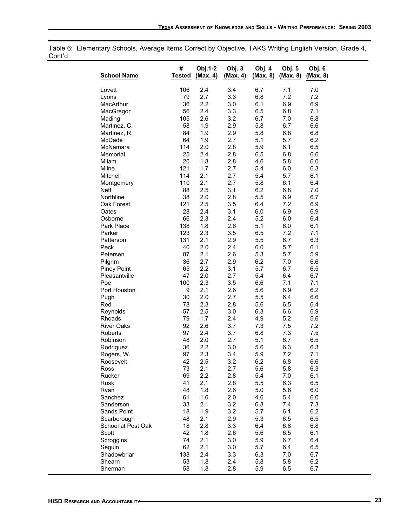Table 6: Elementary Schools, Average Items Correct by Objective, TAKS Writing English Version, Grade 4, Cont'd

| <b>School Name</b> | #<br><b>Tested</b> | Obj.1-2<br>(Max. 4) | Obj. 3<br>(Max. 4) | Obj. 4<br>(Max. 8) | Obj. 5<br>(Max. 8) | Obj. 6<br>(Max. 8) |
|--------------------|--------------------|---------------------|--------------------|--------------------|--------------------|--------------------|
| Lovett             | 106                | 2.4                 | 3.4                | 6.7                | 7.1                | 7.0                |
| Lyons              | 79                 | 2.7                 | 3.3                | 6.8                | 7.2                | 7.2                |
| MacArthur          | 36                 | 2.2                 | 3.0                | 6.1                | 6.9                | 6.9                |
| MacGregor          | 56                 | 2.4                 | 3.3                | 6.5                | 6.8                | 7.1                |
| Mading             | 105                | 2.6                 | 3.2                | 6.7                | 7.0                | 6.8                |
| Martinez, C.       | 58                 | 1.9                 | 2.9                | 5.8                | 6.7                | 6.6                |
| Martinez, R.       | 84                 | 1.9                 | 2.9                | 5.8                | 6.8                | 6.8                |
| McDade             | 64                 | 1.9                 | 2.7                | 5.1                | 5.7                | 6.2                |
| McNamara           | 114                | 2.0                 | 2.8                | 5.9                | 6.1                | 6.5                |
| Memorial           | 25                 | 2.4                 | 2.8                | 6.5                | 6.8                | 6.6                |
| <b>Milam</b>       | 20                 | 1.8                 | 2.8                | 4.6                | 5.8                | 6.0                |
| Milne              | 121                | 1.7                 | 2.7                | 5.4                | 6.0                | 6.3                |
| Mitchell           | 114                | 2.1                 | 2.7                | 5.4                | 5.7                | 6.1                |
| Montgomery         | 110                | 2.1                 | 2.7                | 5.8                | 6.1                | 6.4                |
| <b>Neff</b>        | 88                 | 2.5                 | 3.1                | 6.2                | 6.8                | 7.0                |
| Northline          | 38                 | 2.0                 | 2.8                | 5.5                | 6.9                | 6.7                |
| Oak Forest         | 121                | 2.5                 | 3.5                | 6.4                | 7.2                | 6.9                |
| Oates              | 28                 | 2.4                 | 3.1                | 6.0                | 6.9                | 6.9                |
| Osborne            | 66                 | 2.3                 | 2.4                | 5.2                | 6.0                | 6.4                |
| Park Place         | 138                | 1.8                 | 2.6                | 5.1                | 6.0                | 6.1                |
| Parker             | 123                | 2.3                 | 3.5                | 6.5                | 7.2                | 7.1                |
| Patterson          | 131                | 2.1                 | 2.9                | 5.5                | 6.7                | 6.3                |
| Peck               | 40                 | 2.0                 | 2.4                | 6.0                | 5.7                | 6.1                |
| Petersen           | 87                 | 2.1                 | 2.6                | 5.3                | 5.7                | 5.9                |
| Pilgrim            | 36                 | 2.7                 | 2.9                | 6.2                | 7.0                | 6.6                |
| Piney Point        | 65                 | 2.2                 | 3.1                | 5.7                | 6.7                | 6.5                |
| Pleasantville      | 47                 | 2.0                 | 2.7                | 5.4                | 6.4                | 6.7                |
| Poe                | 100                | 2.3                 | 3.5                | 6.6                | 7.1                | 7.1                |
| Port Houston       | 9                  | 2.1                 | 2.6                | 5.6                | 6.9                | 6.2                |
| Pugh               | 30                 | 2.0                 | 2.7                | 5.5                | 6.4                | 6.6                |
| Red                | 78                 | 2.3                 | 2.8                | 5.6                | 6.5                | 6.4                |
| Reynolds           | 57                 | 2.5                 | 3.0                | 6.3                | 6.6                | 6.9                |
| <b>Rhoads</b>      | 79                 | 1.7                 | 2.4                | 4.9                | 5.2                | 5.6                |
| <b>River Oaks</b>  | 92                 | 2.6                 | 3.7                | 7.3                | 7.5                | 7.2                |
| Roberts            | 97                 | 2.4                 | 3.7                | 6.8                | 7.3                | 7.5                |
| Robinson           | 48                 | 2.0                 | 2.7                | 5.1                | 6.7                | 6.5                |
| Rodriguez          | 36                 | 2.2                 | 3.0                | 5.6                | 6.3                | 6.3                |
| Rogers, W.         | 97                 | 2.3                 | 3.4                | 5.9                | 7.2                | 7.1                |
|                    | 42                 | 2.5                 | 3.2                |                    | 6.8                | 6.6                |
| Roosevelt<br>Ross  | 73                 | 2.1                 | 2.7                | 6.2<br>5.6         | 5.8                | 6.3                |
| Rucker             | 69                 | 2.2                 | 2.8                | 5.4                | 7.0                | 6.1                |
| <b>Rusk</b>        | 41                 | 2.1                 | 2.8                | 5.5                | 6.3                | 6.5                |
|                    | 48                 | 1.8                 |                    | 5.0                | 5.6                |                    |
| Ryan               |                    |                     | 2.6                |                    |                    | 6.0                |
| Sanchez            | 61                 | 1.6                 | 2.0                | 4.6                | 5.4                | 6.0                |
| Sanderson          | 33                 | 2.1                 | 3.2                | 6.8                | 7.4                | 7.3                |
| Sands Point        | 18                 | 1.9                 | 3.2                | 5.7                | 6.1                | 6.2                |
| Scarborough        | 48                 | 2.1                 | 2.9                | 5.3                | 6.5                | 6.5                |
| School at Post Oak | 18                 | 2.8                 | 3.3                | 6.4                | 6.8                | 6.8                |
| Scott              | 42                 | 1.8                 | 2.6                | 5.6                | 6.5                | 6.1                |
| Scroggins          | 74                 | 2.1                 | 3.0                | 5.9                | 6.7                | 6.4                |
| Seguin             | 62                 | 2.1                 | 3.0                | 5.7                | 6.4                | 6.5                |
| Shadowbriar        | 138                | 2.4                 | 3.3                | 6.3                | 7.0                | 6.7                |
| Shearn             | 53                 | 1.8                 | 2.4                | 5.8                | 5.8                | 6.2                |
| Sherman            | 58                 | 1.8                 | 2.8                | 5.9                | 6.5                | 6.7                |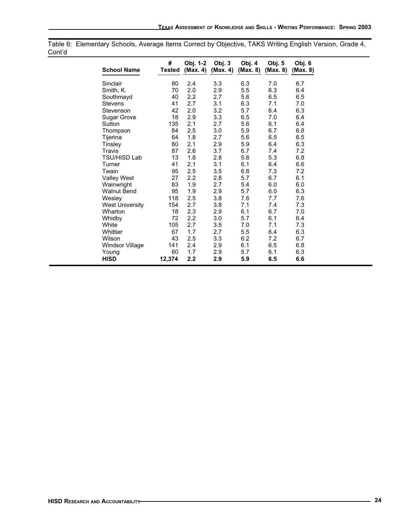| <b>vultu</b> |                        |             |                      |                    |                    |                    |                    |
|--------------|------------------------|-------------|----------------------|--------------------|--------------------|--------------------|--------------------|
|              | <b>School Name</b>     | #<br>Tested | Obj. 1-2<br>(Max. 4) | Obj. 3<br>(Max. 4) | Obj. 4<br>(Max. 8) | Obj. 5<br>(Max. 8) | Obj. 6<br>(Max. 8) |
|              | Sinclair               | 80          | 2.4                  | 3.3                | 6.3                | 7.0                | 6.7                |
|              | Smith, K.              | 70          | 2.0                  | 2.9                | 5.5                | 6.3                | 6.4                |
|              | Southmayd              | 40          | 2.2                  | 2.7                | 5.6                | 6.5                | 6.5                |
|              | <b>Stevens</b>         | 41          | 2.7                  | 3.1                | 6.3                | 7.1                | 7.0                |
|              | Stevenson              | 42          | 2.0                  | 3.2                | 5.7                | 6.4                | 6.3                |
|              | Sugar Grove            | 18          | 2.9                  | 3.3                | 6.5                | 7.0                | 6.4                |
|              | Sutton                 | 135         | 2.1                  | 2.7                | 5.6                | 6.1                | 6.4                |
|              | Thompson               | 84          | 2.5                  | 3.0                | 5.9                | 6.7                | 6.8                |
|              | Tijerina               | 64          | 1.8                  | 2.7                | 5.6                | 6.5                | 6.5                |
|              | Tinsley                | 80          | 2.1                  | 2.9                | 5.9                | 6.4                | 6.3                |
|              | Travis                 | 87          | 2.6                  | 3.7                | 6.7                | 7.4                | 7.2                |
|              | <b>TSU/HISD Lab</b>    | 13          | 1.8                  | 2.8                | 5.8                | 5.3                | 6.8                |
|              | Turner                 | 41          | 2.1                  | 3.1                | 6.1                | 6.4                | 6.6                |
|              | Twain                  | 95          | 2.5                  | 3.5                | 6.8                | 7.3                | 7.2                |
|              | <b>Valley West</b>     | 27          | 2.2                  | 2.8                | 5.7                | 6.7                | 6.1                |
|              | Wainwright             | 83          | 1.9                  | 2.7                | 5.4                | 6.0                | 6.0                |
|              | <b>Walnut Bend</b>     | 95          | 1.9                  | 2.9                | 5.7                | 6.0                | 6.3                |
|              | Wesley                 | 118         | 2.5                  | 3.8                | 7.6                | 7.7                | 7.6                |
|              | <b>West University</b> | 154         | 2.7                  | 3.8                | 7.1                | 7.4                | 7.3                |
|              | Wharton                | 18          | 2.3                  | 2.9                | 6.1                | 6.7                | 7.0                |
|              | Whidby                 | 72          | 2.2                  | 3.0                | 5.7                | 6.1                | 6.4                |
|              | White                  | 105         | 2.7                  | 3.5                | 7.0                | 7.1                | 7.3                |
|              | Whittier               | 67          | 1.7                  | 2.7                | 5.5                | 6.4                | 6.3                |
|              | Wilson                 | 43          | 2.5                  | 3.3                | 6.2                | 7.2                | 6.7                |
|              | Windsor Village        | 141         | 2.4                  | 2.9                | 6.1                | 6.5                | 6.8                |
|              | Young                  | 60          | 1.7                  | 2.9                | 5.7                | 6.1                | 6.3                |
|              | <b>HISD</b>            | 12,374      | 2.2                  | 2.9                | 5.9                | 6.5                | 6.6                |

Table 6: Elementary Schools, Average Items Correct by Objective, TAKS Writing English Version, Grade 4, Cont'd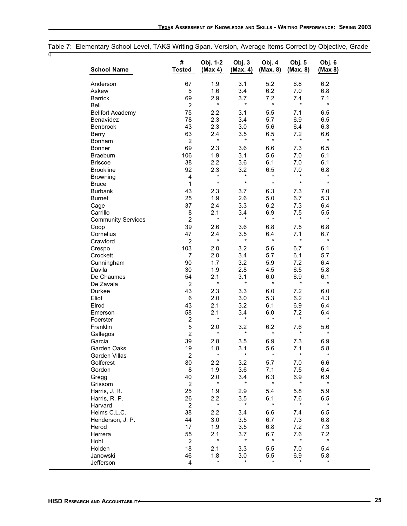# Table 7: Elementary School Level, TAKS Writing Span. Version, Average Items Correct by Objective, Grade

4

| <b>School Name</b>        | #<br><b>Tested</b> | Obj. 1-2<br>(Max 4) | Obj. 3<br>(Max. 4) | Obj. 4<br>(Max. 8) | Obj. 5<br>(Max. 8) | Obj. 6<br>(Max 8) |
|---------------------------|--------------------|---------------------|--------------------|--------------------|--------------------|-------------------|
| Anderson                  | 67                 | 1.9                 | 3.1                | 5.2                | 6.8                | 6.2               |
| Askew                     | 5                  | 1.6                 | 3.4                | 6.2                | 7.0                | 6.8               |
| <b>Barrick</b>            | 69                 | 2.9                 | 3.7                | 7.2                | 7.4                | 7.1               |
| <b>Bell</b>               | $\overline{2}$     | $\star$             | $\star$            | $\star$            | $\star$            | $\star$           |
| <b>Bellfort Academy</b>   | 75                 | 2.2                 | 3.1                | 5.5                | 7.1                | 6.5               |
| Benavídez                 | 78                 | 2.3                 | 3.4                | 5.7                | 6.9                | 6.5               |
| <b>Benbrook</b>           | 43                 | 2.3                 | 3.0                | 5.6                | 6.4                | 6.3               |
| Berry                     | 63                 | 2.4                 | 3.5                | 6.5                | 7.2                | 6.6               |
| Bonham                    | $\overline{c}$     | $\star$             | $^\star$           | $\star$            | $\star$            | $\star$           |
| Bonner                    | 69                 | 2.3                 | 3.6                | 6.6                | 7.3                | 6.5               |
| <b>Braeburn</b>           | 106                | 1.9                 | 3.1                | 5.6                | 7.0                | 6.1               |
| <b>Briscoe</b>            | 38                 | 2.2                 | 3.6                | 6.1                | 7.0                | 6.1               |
| <b>Brookline</b>          | 92                 | 2.3                 | 3.2                | 6.5                | 7.0                | 6.8               |
| <b>Browning</b>           | $\overline{4}$     | $\star$             | $^\star$           | $\star$            | *                  | $^\star$          |
| <b>Bruce</b>              | 1                  | $\star$             | $\star$            | $\star$            | $\star$            | $\star$           |
| <b>Burbank</b>            | 43                 | 2.3                 | 3.7                | 6.3                | 7.3                | 7.0               |
| <b>Burnet</b>             | 25                 | 1.9                 | 2.6                | 5.0                | 6.7                | 5.3               |
| Cage                      | 37                 | 2.4                 | 3.3                | 6.2                | 7.3                | 6.4               |
| Carrillo                  | 8                  | 2.1                 | 3.4                | 6.9                | 7.5                | 5.5               |
| <b>Community Services</b> | $\overline{2}$     | $\star$             | $\star$            | $\star$            | $\star$            | $\star$           |
| Coop                      | 39                 | 2.6                 | 3.6                | 6.8                | 7.5                | 6.8               |
| Cornelius                 | 47                 | 2.4                 | 3.5                | 6.4                | 7.1                | 6.7               |
| Crawford                  | $\overline{2}$     | $\star$             | $\star$            | $\star$            | $\star$            | $\star$           |
| Crespo                    | 103                | 2.0                 | 3.2                | 5.6                | 6.7                | 6.1               |
| Crockett                  | $\overline{7}$     | 2.0                 | 3.4                | 5.7                | 6.1                | 5.7               |
| Cunningham                | 90                 | 1.7                 | 3.2                | 5.9                | 7.2                | 6.4               |
| Davila                    | 30                 | 1.9                 | 2.8                | 4.5                | 6.5                | 5.8               |
| De Chaumes                | 54                 | 2.1                 | 3.1                | 6.0                | 6.9                | 6.1               |
| De Zavala                 | $\overline{2}$     | $\star$             | $\star$            | $\star$            | $\star$            | $\star$           |
| Durkee                    | 43                 | 2.3                 | 3.3                | 6.0                | 7.2                | 6.0               |
| Eliot                     | 6                  | 2.0                 | 3.0                | 5.3                | 6.2                | 4.3               |
| Elrod                     | 43                 | 2.1                 | 3.2                | 6.1                | 6.9                | 6.4               |
| Emerson                   | 58                 | 2.1                 | 3.4                | 6.0                | 7.2                | 6.4               |
| Foerster                  | $\overline{2}$     | $\star$             | $\star$            | $\star$            | $\star$            | $\star$           |
| Franklin                  | 5                  | 2.0                 | 3.2                | 6.2                | 7.6                | 5.6               |
|                           | $\overline{c}$     | $^\star$            | $^\star$           | $\star$            | $\star$            | $\star$           |
| Gallegos<br>Garcia        | 39                 |                     |                    |                    |                    |                   |
| Garden Oaks               | 19                 | 2.8<br>1.8          | 3.5<br>3.1         | 6.9<br>5.6         | 7.3<br>7.1         | 6.9<br>5.8        |
|                           | $\mathfrak{p}$     | $\star$             | $\star$            | $\star$            | $\star$            | $\star$           |
| Garden Villas             |                    |                     |                    |                    |                    |                   |
| Golfcrest                 | 80<br>8            | 2.2                 | 3.2                | 5.7                | 7.0                | 6.6               |
| Gordon                    |                    | 1.9                 | 3.6                | 7.1                | 7.5                | 6.4               |
| Gregg                     | 40                 | 2.0<br>$^\star$     | 3.4<br>*           | 6.3<br>$\star$     | 6.9<br>$\star$     | 6.9<br>$\star$    |
| Grissom                   | $\overline{2}$     |                     |                    |                    |                    |                   |
| Harris, J. R.             | 25                 | 1.9                 | 2.9                | 5.4                | 5.8                | 5.9               |
| Harris, R. P.             | 26                 | 2.2<br>$\star$      | 3.5<br>$\star$     | 6.1<br>$\star$     | 7.6<br>$\star$     | 6.5<br>$\star$    |
| Harvard                   | $\overline{2}$     |                     |                    |                    |                    |                   |
| Helms C.L.C.              | 38                 | 2.2                 | 3.4                | 6.6                | 7.4                | 6.5               |
| Henderson, J. P.          | 44                 | 3.0                 | 3.5                | 6.7                | 7.3                | 6.8               |
| Herod                     | 17                 | 1.9                 | 3.5                | 6.8                | 7.2                | 7.3               |
| Herrera                   | 55                 | 2.1                 | 3.7                | 6.7                | 7.6                | 7.2               |
| Hohl                      | $\overline{2}$     | $\star$             | $\star$            | $\star$            | $^\star$           | $\star$           |
| Holden                    | 18                 | 2.1                 | 3.3                | 5.5                | 7.0                | 5.4               |
| Janowski                  | 46                 | 1.8                 | 3.0                | 5.5                | 6.9                | 5.8               |
| Jefferson                 | 4                  | $^\star$            | $\star$            | $\star$            | $^\star$           | $^\star$          |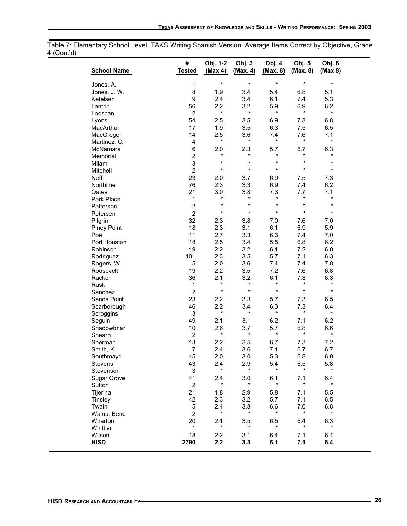Table 7: Elementary School Level, TAKS Writing Spanish Version, Average Items Correct by Objective, Grade 4 (Cont'd)

| <b>School Name</b> | #<br><b>Tested</b>      | Obj. 1-2<br>(Max 4) | Obj. 3<br>(Max. 4) | Obj. 4<br>(Max. 8) | Obj. 5<br>(Max. 8) | Obj. 6<br>(Max 8) |
|--------------------|-------------------------|---------------------|--------------------|--------------------|--------------------|-------------------|
| Jones, A.          | 1                       | $\star$             | $\star$            | $\star$            | $\star$            | $\star$           |
| Jones, J. W.       | 8                       | 1.9                 | 3.4                | 5.4                | 6.8                | 5.1               |
| Ketelsen           | $\boldsymbol{9}$        | 2.4                 | 3.4                | 6.1                | 7.4                | 5.3               |
|                    | 56                      | 2.2                 | 3.2                | 5.9                |                    | 6.2               |
| Lantrip            |                         | $\star$             | $\star$            | $\star$            | 6.9<br>$\star$     | $\star$           |
| Looscan            | $\overline{c}$          |                     |                    |                    |                    |                   |
| Lyons              | 54                      | 2.5                 | 3.5                | 6.9                | 7.3                | 6.8               |
| MacArthur          | 17                      | 1.9                 | 3.5                | 6.3                | 7.5                | 6.5               |
| MacGregor          | 14                      | 2.5<br>$\star$      | 3.6<br>$\star$     | 7.4<br>$\star$     | 7.6<br>$\star$     | 7.1<br>$\star$    |
| Martinez, C.       | $\overline{\mathbf{4}}$ |                     |                    |                    |                    |                   |
| McNamara           | 6                       | 2.0                 | 2.3                | 5.7                | 6.7                | 6.3               |
| Memorial           | $\overline{c}$          | $\star$             | $\star$            | $\star$            | $\star$            | $^\star$          |
| Milam              | 3                       | $\star$             | $\star$            | $\star$            | $\star$            | $\ast$            |
| Mitchell           | $\overline{c}$          | $\star$             | $\star$            | $\star$            | $\star$            | $\star$           |
| <b>Neff</b>        | 23                      | 2.0                 | 3.7                | 6.9                | 7.5                | 7.3               |
| Northline          | 76                      | 2.3                 | 3.3                | 6.9                | 7.4                | 6.2               |
| Oates              | 21                      | 3.0                 | 3.8                | 7.3                | 7.7                | 7.1               |
| Park Place         | 1                       | $^\star$            | $\star$            | $^\star$           | $\star$            | $\star$           |
| Patterson          | $\overline{c}$          | $\star$             | $\star$            | $\star$            | $\star$            | $\ast$            |
| Petersen           | $\overline{2}$          | $\star$             | $\star$            | $\star$            | $\star$            | $\star$           |
| Pilgrim            | 32                      | 2.3                 | 3.8                | 7.0                | 7.6                | 7.0               |
| <b>Piney Point</b> | 18                      | 2.3                 | 3.1                | 6.1                | 6.9                | 5.9               |
| Poe                | 11                      | 2.7                 | 3.3                | 6.3                | 7.4                | 7.0               |
| Port Houston       | 18                      | 2.5                 | 3.4                | 5.5                | 6.8                | 6.2               |
| Robinson           | 19                      | 2.2                 | 3.2                | 6.1                | 7.2                | 6.0               |
| Rodriguez          | 101                     | 2.3                 | 3.5                | 5.7                | 7.1                | 6.3               |
| Rogers, W.         | 5                       | 2.0                 | 3.6                | 7.4                | 7.4                | 7.8               |
| Roosevelt          | 19                      | 2.2                 | 3.5                | 7.2                | 7.6                | 6.8               |
| Rucker             | 36                      | 2.1                 | 3.2                | 6.1                | 7.3                | 6.3               |
| Rusk               | 1                       | $\star$             | $\star$            | $\star$            | $\star$            | $\star$           |
| Sanchez            | $\overline{c}$          | $\star$             | $\star$            | $\star$            | $\star$            | $\star$           |
| Sands Point        | 23                      | 2.2                 | 3.3                | 5.7                | 7.3                | 6.5               |
| Scarborough        | 46                      | 2.2                 | 3.4                | 6.3                | 7.3                | 6.4               |
| Scroggins          | 3                       | $\star$             | $\star$            | $\star$            | $\star$            | $\star$           |
| Seguin             | 49                      | 2.1                 | 3.1                | 6.2                | 7.1                | 6.2               |
| Shadowbriar        | 10                      | 2.6                 | 3.7                | 5.7                | 6.8                | 6.6               |
| Shearn             | $\overline{c}$          | $\star$             | $\star$            | $\star$            | $\star$            | $\star$           |
| Sherman            | 13                      | 2.2                 | 3.5                | 6.7                | 7.3                | 7.2               |
|                    | $\overline{7}$          | 2.4                 | 3.6                | 7.1                | 6.7                | 6.7               |
| Smith, K.          |                         | 2.0                 |                    | 5.3                | $6.8\,$            |                   |
| Southmayd          | 45                      |                     | 3.0                |                    |                    | 6.0               |
| <b>Stevens</b>     | 43                      | 2.4<br>$\star$      | 2.9<br>$\star$     | 5.4<br>$\star$     | 6.5<br>$^\star$    | 5.8<br>$\star$    |
| Stevenson          | $\sqrt{3}$              |                     |                    |                    |                    |                   |
| Sugar Grove        | 41                      | 2.4<br>$\star$      | 3.0<br>$\star$     | 6.1<br>$\star$     | 7.1<br>$\star$     | 6.4<br>$\star$    |
| Sutton             | $\overline{c}$          |                     |                    |                    |                    |                   |
| Tijerina           | 21                      | 1.8                 | 2.9                | 5.8                | 7.1                | 5.5               |
| Tinsley            | 42                      | 2.3                 | 3.2                | 5.7                | 7.1                | 6.5               |
| Twain              | 5                       | 2.4                 | 3.8                | 6.6                | 7.0                | 6.8               |
| <b>Walnut Bend</b> | $\overline{c}$          | $\star$             | $\star$            | $^\star$           | $\star$            | $\star$           |
| Wharton            | 20                      | 2.1                 | 3.5                | 6.5                | 6.4                | 6.3               |
| Whittier           | $\mathbf 1$             | $\star$             | $\star$            | $^\star$           | $^\star$           | $\star$           |
| Wilson             | 18                      | 2.2                 | 3.1                | 6.4                | 7.1                | 6.1               |
| <b>HISD</b>        | 2790                    | 2.2                 | 3.3                | 6.1                | 7.1                | 6.4               |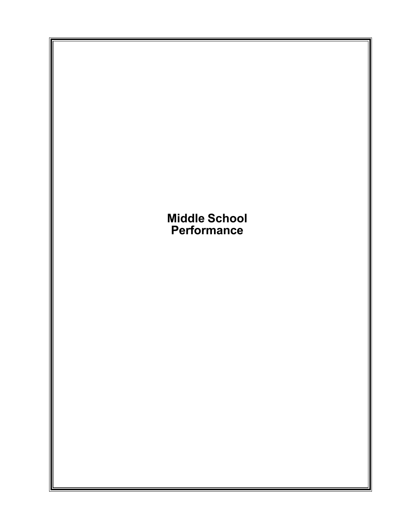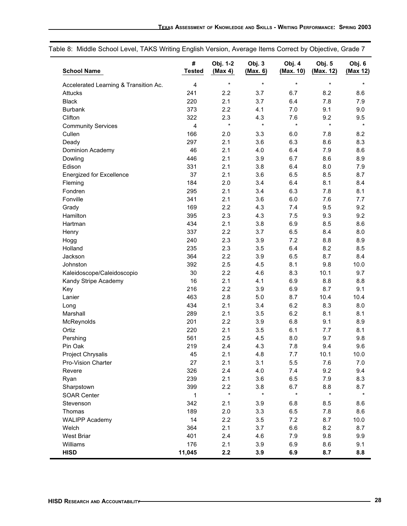| <b>School Name</b>                    | #<br><b>Tested</b>      | Obj. 1-2<br>(Max 4) | Obj. 3<br>(Max. 6) | Obj. 4<br>(Max. 10) | Obj. 5<br>(Max. 12) | Obj. 6<br>(Max 12) |
|---------------------------------------|-------------------------|---------------------|--------------------|---------------------|---------------------|--------------------|
| Accelerated Learning & Transition Ac. | 4                       | $\star$             | $\star$            | $\star$             | $\star$             | $\star$            |
| <b>Attucks</b>                        | 241                     | 2.2                 | 3.7                | 6.7                 | 8.2                 | 8.6                |
| <b>Black</b>                          | 220                     | 2.1                 | 3.7                | 6.4                 | 7.8                 | 7.9                |
| <b>Burbank</b>                        | 373                     | 2.2                 | 4.1                | 7.0                 | 9.1                 | 9.0                |
| Clifton                               | 322                     | 2.3                 | 4.3                | 7.6                 | 9.2                 | 9.5                |
| <b>Community Services</b>             | $\overline{\mathbf{4}}$ | $\star$             | $\star$            | $\star$             | $\star$             | $\star$            |
| Cullen                                | 166                     | 2.0                 | 3.3                | 6.0                 | 7.8                 | 8.2                |
| Deady                                 | 297                     | 2.1                 | 3.6                | 6.3                 | 8.6                 | 8.3                |
| Dominion Academy                      | 46                      | 2.1                 | 4.0                | 6.4                 | 7.9                 | 8.6                |
| Dowling                               | 446                     | 2.1                 | 3.9                | 6.7                 | 8.6                 | 8.9                |
| Edison                                | 331                     | 2.1                 | 3.8                | 6.4                 | 8.0                 | 7.9                |
| <b>Energized for Excellence</b>       | 37                      | 2.1                 | 3.6                | 6.5                 | 8.5                 | 8.7                |
| Fleming                               | 184                     | 2.0                 | 3.4                | 6.4                 | 8.1                 | 8.4                |
| Fondren                               | 295                     | 2.1                 | 3.4                | 6.3                 | 7.8                 | 8.1                |
| Fonville                              | 341                     | 2.1                 | 3.6                | 6.0                 | 7.6                 | 7.7                |
| Grady                                 | 169                     | 2.2                 | 4.3                | 7.4                 | 9.5                 | 9.2                |
| Hamilton                              | 395                     | 2.3                 | 4.3                | 7.5                 | 9.3                 | 9.2                |
| Hartman                               | 434                     | 2.1                 | 3.8                | 6.9                 | 8.5                 | 8.6                |
| Henry                                 | 337                     | 2.2                 | 3.7                | 6.5                 | 8.4                 | 8.0                |
| Hogg                                  | 240                     | 2.3                 | 3.9                | 7.2                 | 8.8                 | 8.9                |
| Holland                               | 235                     | 2.3                 | 3.5                | 6.4                 | 8.2                 | 8.5                |
| Jackson                               | 364                     | 2.2                 | 3.9                | 6.5                 | 8.7                 | 8.4                |
| Johnston                              | 392                     | 2.5                 | 4.5                | 8.1                 | 9.8                 | 10.0               |
| Kaleidoscope/Caleidoscopio            | 30                      | 2.2                 | 4.6                | 8.3                 | 10.1                | 9.7                |
| Kandy Stripe Academy                  | 16                      | 2.1                 | 4.1                | 6.9                 | 8.8                 | 8.8                |
| Key                                   | 216                     | 2.2                 | 3.9                | 6.9                 | 8.7                 | 9.1                |
| Lanier                                | 463                     | 2.8                 | 5.0                | 8.7                 | 10.4                | 10.4               |
| Long                                  | 434                     | 2.1                 | 3.4                | 6.2                 | 8.3                 | 8.0                |
| Marshall                              | 289                     | 2.1                 | 3.5                | 6.2                 | 8.1                 | 8.1                |
| McReynolds                            | 201                     | 2.2                 | 3.9                | 6.8                 | 9.1                 | 8.9                |
| Ortiz                                 | 220                     | 2.1                 | 3.5                | 6.1                 | 7.7                 | 8.1                |
| Pershing                              | 561                     | 2.5                 | 4.5                | 8.0                 | 9.7                 | 9.8                |
| Pin Oak                               | 219                     | 2.4                 | 4.3                | 7.8                 | 9.4                 | 9.6                |
| Project Chrysalis                     | 45                      | 2.1                 | 4.8                | 7.7                 | 10.1                | 10.0               |
| Pro-Vision Charter                    | 27                      | 2.1                 | 3.1                | 5.5                 | 7.6                 | 7.0                |
| Revere                                | 326                     | 2.4                 | 4.0                | 7.4                 | 9.2                 | 9.4                |
| Ryan                                  | 239                     | 2.1                 | 3.6                | 6.5                 | 7.9                 | 8.3                |
| Sharpstown                            | 399                     | 2.2                 | 3.8                | 6.7                 | 8.8                 | 8.7                |
| <b>SOAR Center</b>                    | $\mathbf{1}$            | $\star$             | $\star$            | $\star$             | $\star$             | $\star$            |
| Stevenson                             | 342                     | 2.1                 | 3.9                | 6.8                 | 8.5                 | 8.6                |
| Thomas                                | 189                     | 2.0                 | 3.3                | 6.5                 | 7.8                 | 8.6                |
| <b>WALIPP Academy</b>                 | 14                      | 2.2                 | 3.5                | 7.2                 | 8.7                 | 10.0               |
| Welch                                 | 364                     | 2.1                 | 3.7                | 6.6                 | 8.2                 | 8.7                |
| <b>West Briar</b>                     | 401                     | 2.4                 | 4.6                | 7.9                 | 9.8                 | 9.9                |
|                                       |                         |                     |                    |                     |                     |                    |
| Williams                              | 176                     | 2.1                 | 3.9                | 6.9                 | 8.6                 | 9.1                |

Table 8: Middle School Level, TAKS Writing English Version, Average Items Correct by Objective, Grade 7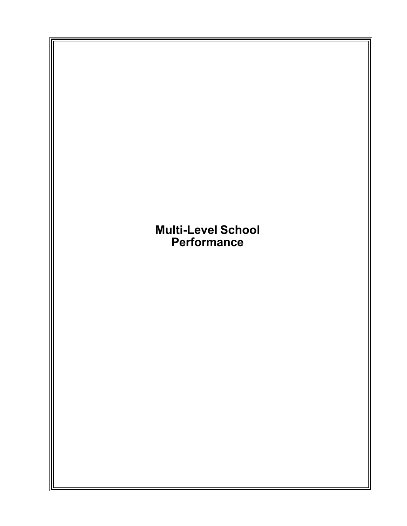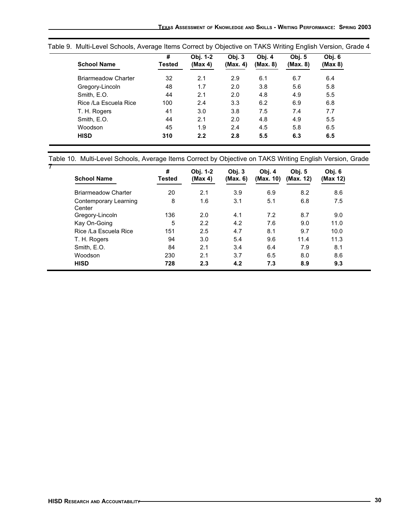| <b>School Name</b>         | #<br>Tested | Obj. 1-2<br>(Max 4) | Obj.3<br>(Max. 4) | Obj. 4<br>(Max. 8) | Obj. 5<br>(Max. 8) | Obj. 6<br>(Max 8) |
|----------------------------|-------------|---------------------|-------------------|--------------------|--------------------|-------------------|
| <b>Briarmeadow Charter</b> | 32          | 2.1                 | 2.9               | 6.1                | 6.7                | 6.4               |
| Gregory-Lincoln            | 48          | 1.7                 | 2.0               | 3.8                | 5.6                | 5.8               |
| Smith, E.O.                | 44          | 2.1                 | 2.0               | 4.8                | 4.9                | 5.5               |
| Rice /La Escuela Rice      | 100         | 2.4                 | 3.3               | 6.2                | 6.9                | 6.8               |
| T. H. Rogers               | 41          | 3.0                 | 3.8               | 7.5                | 7.4                | 7.7               |
| Smith, E.O.                | 44          | 2.1                 | 2.0               | 4.8                | 4.9                | 5.5               |
| Woodson                    | 45          | 1.9                 | 2.4               | 4.5                | 5.8                | 6.5               |
| <b>HISD</b>                | 310         | 2.2                 | 2.8               | 5.5                | 6.3                | 6.5               |

Table 9. Multi-Level Schools, Average Items Correct by Objective on TAKS Writing English Version, Grade 4

## Table 10. Multi-Level Schools, Average Items Correct by Objective on TAKS Writing English Version, Grade

| <b>School Name</b>              | #<br><b>Tested</b> | Obj. 1-2<br>(Max 4) | Obj.3<br>(Max. 6) | Obj. 4<br>(Max. 10) | Obj. $5$<br>(Max. 12) | Obj. 6<br>(Max 12) |
|---------------------------------|--------------------|---------------------|-------------------|---------------------|-----------------------|--------------------|
| <b>Briarmeadow Charter</b>      | 20                 | 2.1                 | 3.9               | 6.9                 | 8.2                   | 8.6                |
| Contemporary Learning<br>Center | 8                  | 1.6                 | 3.1               | 5.1                 | 6.8                   | 7.5                |
| Gregory-Lincoln                 | 136                | 2.0                 | 4.1               | 7.2                 | 8.7                   | 9.0                |
| Kay On-Going                    | 5                  | 2.2                 | 4.2               | 7.6                 | 9.0                   | 11.0               |
| Rice /La Escuela Rice           | 151                | 2.5                 | 4.7               | 8.1                 | 9.7                   | 10.0               |
| T. H. Rogers                    | 94                 | 3.0                 | 5.4               | 9.6                 | 11.4                  | 11.3               |
| Smith, E.O.                     | 84                 | 2.1                 | 3.4               | 6.4                 | 7.9                   | 8.1                |
| Woodson                         | 230                | 2.1                 | 3.7               | 6.5                 | 8.0                   | 8.6                |
| <b>HISD</b>                     | 728                | 2.3                 | 4.2               | 7.3                 | 8.9                   | 9.3                |